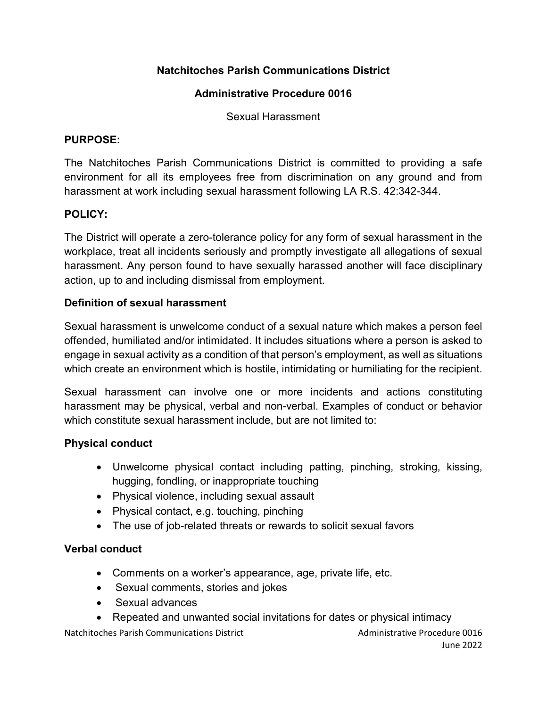# **Natchitoches Parish Communications District**

### **Administrative Procedure 0016**

Sexual Harassment

#### **PURPOSE:**

The Natchitoches Parish Communications District is committed to providing a safe environment for all its employees free from discrimination on any ground and from harassment at work including sexual harassment following LA R.S. 42:342-344.

### **POLICY:**

The District will operate a zero-tolerance policy for any form of sexual harassment in the workplace, treat all incidents seriously and promptly investigate all allegations of sexual harassment. Any person found to have sexually harassed another will face disciplinary action, up to and including dismissal from employment.

### **Definition of sexual harassment**

Sexual harassment is unwelcome conduct of a sexual nature which makes a person feel offended, humiliated and/or intimidated. It includes situations where a person is asked to engage in sexual activity as a condition of that person's employment, as well as situations which create an environment which is hostile, intimidating or humiliating for the recipient.

Sexual harassment can involve one or more incidents and actions constituting harassment may be physical, verbal and non-verbal. Examples of conduct or behavior which constitute sexual harassment include, but are not limited to:

### **Physical conduct**

- Unwelcome physical contact including patting, pinching, stroking, kissing, hugging, fondling, or inappropriate touching
- Physical violence, including sexual assault
- Physical contact, e.g. touching, pinching
- The use of job-related threats or rewards to solicit sexual favors

### **Verbal conduct**

- Comments on a worker's appearance, age, private life, etc.
- Sexual comments, stories and jokes
- Sexual advances
- Repeated and unwanted social invitations for dates or physical intimacy

Natchitoches Parish Communications District Administrative Procedure 0016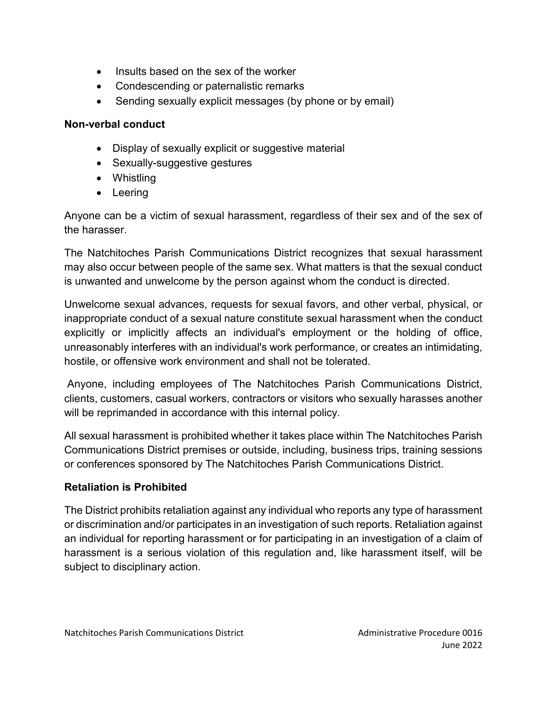- Insults based on the sex of the worker
- Condescending or paternalistic remarks
- Sending sexually explicit messages (by phone or by email)

## **Non-verbal conduct**

- Display of sexually explicit or suggestive material
- Sexually-suggestive gestures
- Whistling
- Leering

Anyone can be a victim of sexual harassment, regardless of their sex and of the sex of the harasser.

The Natchitoches Parish Communications District recognizes that sexual harassment may also occur between people of the same sex. What matters is that the sexual conduct is unwanted and unwelcome by the person against whom the conduct is directed.

Unwelcome sexual advances, requests for sexual favors, and other verbal, physical, or inappropriate conduct of a sexual nature constitute sexual harassment when the conduct explicitly or implicitly affects an individual's employment or the holding of office, unreasonably interferes with an individual's work performance, or creates an intimidating, hostile, or offensive work environment and shall not be tolerated.

Anyone, including employees of The Natchitoches Parish Communications District, clients, customers, casual workers, contractors or visitors who sexually harasses another will be reprimanded in accordance with this internal policy.

All sexual harassment is prohibited whether it takes place within The Natchitoches Parish Communications District premises or outside, including, business trips, training sessions or conferences sponsored by The Natchitoches Parish Communications District.

# **Retaliation is Prohibited**

The District prohibits retaliation against any individual who reports any type of harassment or discrimination and/or participates in an investigation of such reports. Retaliation against an individual for reporting harassment or for participating in an investigation of a claim of harassment is a serious violation of this regulation and, like harassment itself, will be subject to disciplinary action.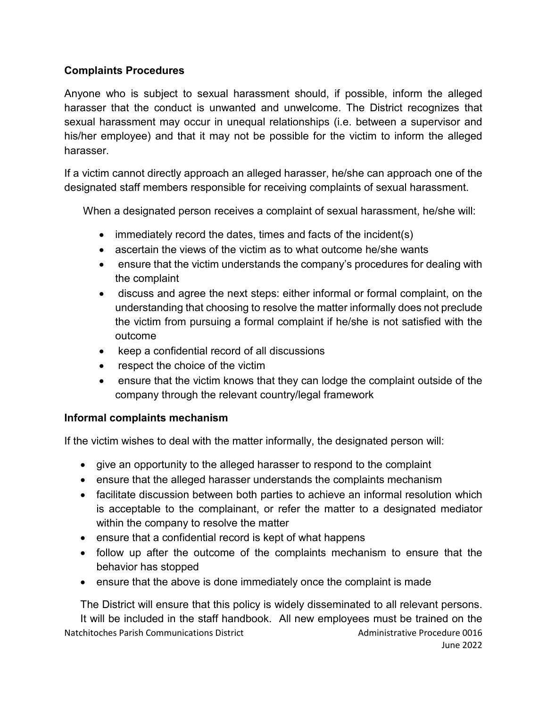## **Complaints Procedures**

Anyone who is subject to sexual harassment should, if possible, inform the alleged harasser that the conduct is unwanted and unwelcome. The District recognizes that sexual harassment may occur in unequal relationships (i.e. between a supervisor and his/her employee) and that it may not be possible for the victim to inform the alleged harasser.

If a victim cannot directly approach an alleged harasser, he/she can approach one of the designated staff members responsible for receiving complaints of sexual harassment.

When a designated person receives a complaint of sexual harassment, he/she will:

- immediately record the dates, times and facts of the incident(s)
- ascertain the views of the victim as to what outcome he/she wants
- ensure that the victim understands the company's procedures for dealing with the complaint
- discuss and agree the next steps: either informal or formal complaint, on the understanding that choosing to resolve the matter informally does not preclude the victim from pursuing a formal complaint if he/she is not satisfied with the outcome
- keep a confidential record of all discussions
- respect the choice of the victim
- ensure that the victim knows that they can lodge the complaint outside of the company through the relevant country/legal framework

### **Informal complaints mechanism**

If the victim wishes to deal with the matter informally, the designated person will:

- give an opportunity to the alleged harasser to respond to the complaint
- ensure that the alleged harasser understands the complaints mechanism
- facilitate discussion between both parties to achieve an informal resolution which is acceptable to the complainant, or refer the matter to a designated mediator within the company to resolve the matter
- ensure that a confidential record is kept of what happens
- follow up after the outcome of the complaints mechanism to ensure that the behavior has stopped
- ensure that the above is done immediately once the complaint is made

Natchitoches Parish Communications District Administrative Procedure 0016 The District will ensure that this policy is widely disseminated to all relevant persons. It will be included in the staff handbook. All new employees must be trained on the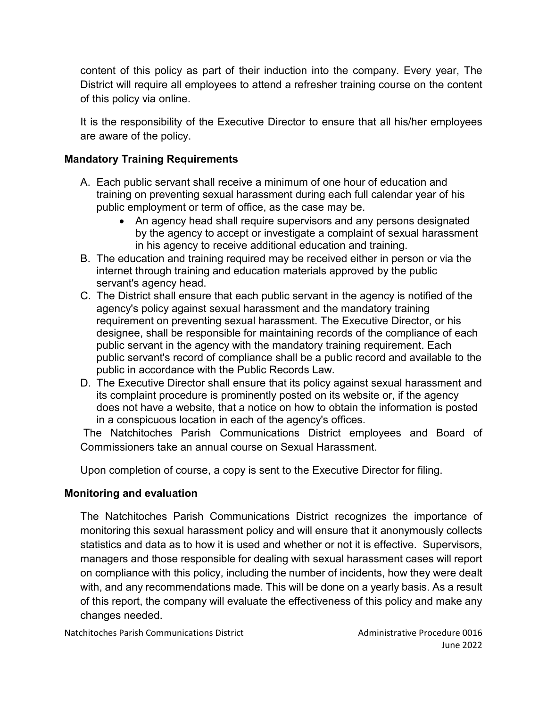content of this policy as part of their induction into the company. Every year, The District will require all employees to attend a refresher training course on the content of this policy via online.

It is the responsibility of the Executive Director to ensure that all his/her employees are aware of the policy.

## **Mandatory Training Requirements**

- A. Each public servant shall receive a minimum of one hour of education and training on preventing sexual harassment during each full calendar year of his public employment or term of office, as the case may be.
	- An agency head shall require supervisors and any persons designated by the agency to accept or investigate a complaint of sexual harassment in his agency to receive additional education and training.
- B. The education and training required may be received either in person or via the internet through training and education materials approved by the public servant's agency head.
- C. The District shall ensure that each public servant in the agency is notified of the agency's policy against sexual harassment and the mandatory training requirement on preventing sexual harassment. The Executive Director, or his designee, shall be responsible for maintaining records of the compliance of each public servant in the agency with the mandatory training requirement. Each public servant's record of compliance shall be a public record and available to the public in accordance with the Public Records Law.
- D. The Executive Director shall ensure that its policy against sexual harassment and its complaint procedure is prominently posted on its website or, if the agency does not have a website, that a notice on how to obtain the information is posted in a conspicuous location in each of the agency's offices.

The Natchitoches Parish Communications District employees and Board of Commissioners take an annual course on Sexual Harassment.

Upon completion of course, a copy is sent to the Executive Director for filing.

# **Monitoring and evaluation**

The Natchitoches Parish Communications District recognizes the importance of monitoring this sexual harassment policy and will ensure that it anonymously collects statistics and data as to how it is used and whether or not it is effective. Supervisors, managers and those responsible for dealing with sexual harassment cases will report on compliance with this policy, including the number of incidents, how they were dealt with, and any recommendations made. This will be done on a yearly basis. As a result of this report, the company will evaluate the effectiveness of this policy and make any changes needed.